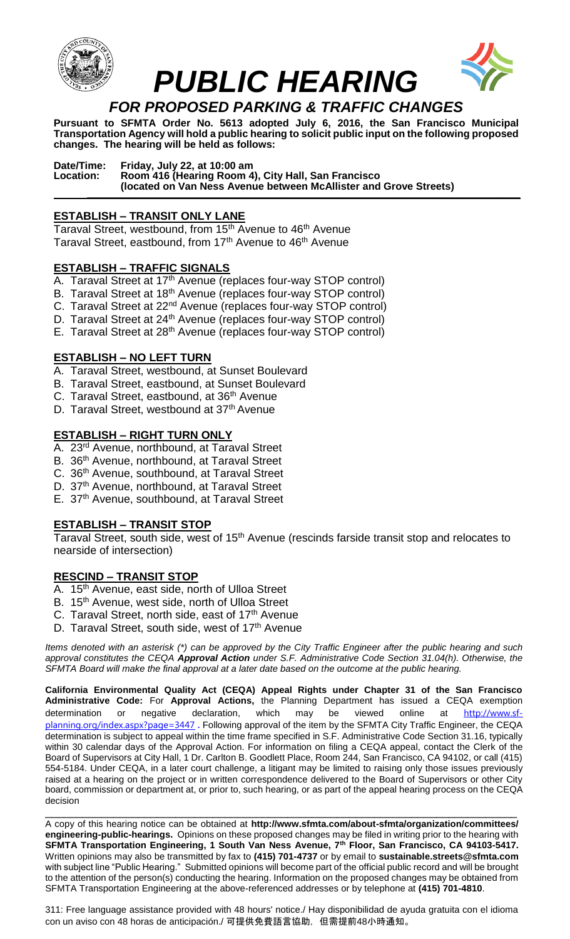



**Pursuant to SFMTA Order No. 5613 adopted July 6, 2016, the San Francisco Municipal Transportation Agency will hold a public hearing to solicit public input on the following proposed changes. The hearing will be held as follows:**

**Date/Time: Friday, July 22, at 10:00 am Location: Room 416 (Hearing Room 4), City Hall, San Francisco (located on Van Ness Avenue between McAllister and Grove Streets) \_\_\_\_\_\_\_\_\_\_\_\_\_\_\_\_\_\_\_\_\_\_\_\_\_\_\_\_\_\_\_\_\_\_\_\_\_\_\_\_\_\_\_\_\_\_\_\_\_\_\_\_\_\_\_\_\_\_\_\_\_\_\_\_\_\_\_\_\_\_\_\_\_\_\_\_**

# **ESTABLISH – TRANSIT ONLY LANE**

Taraval Street, westbound, from 15<sup>th</sup> Avenue to 46<sup>th</sup> Avenue Taraval Street, eastbound, from 17<sup>th</sup> Avenue to 46<sup>th</sup> Avenue

## **ESTABLISH – TRAFFIC SIGNALS**

- A. Taraval Street at 17<sup>th</sup> Avenue (replaces four-way STOP control)
- B. Taraval Street at 18<sup>th</sup> Avenue (replaces four-way STOP control)
- C. Taraval Street at 22nd Avenue (replaces four-way STOP control)
- D. Taraval Street at 24<sup>th</sup> Avenue (replaces four-way STOP control)
- E. Taraval Street at 28<sup>th</sup> Avenue (replaces four-way STOP control)

## **ESTABLISH – NO LEFT TURN**

- A. Taraval Street, westbound, at Sunset Boulevard
- B. Taraval Street, eastbound, at Sunset Boulevard
- C. Taraval Street, eastbound, at 36<sup>th</sup> Avenue
- D. Taraval Street, westbound at 37<sup>th</sup> Avenue

### **ESTABLISH – RIGHT TURN ONLY**

- A. 23rd Avenue, northbound, at Taraval Street
- B. 36<sup>th</sup> Avenue, northbound, at Taraval Street
- C. 36<sup>th</sup> Avenue, southbound, at Taraval Street
- D. 37<sup>th</sup> Avenue, northbound, at Taraval Street
- E. 37th Avenue, southbound, at Taraval Street

### **ESTABLISH – TRANSIT STOP**

Taraval Street, south side, west of 15<sup>th</sup> Avenue (rescinds farside transit stop and relocates to nearside of intersection)

### **RESCIND – TRANSIT STOP**

- A. 15<sup>th</sup> Avenue, east side, north of Ulloa Street
- B. 15<sup>th</sup> Avenue, west side, north of Ulloa Street
- C. Taraval Street, north side, east of 17<sup>th</sup> Avenue
- D. Taraval Street, south side, west of 17<sup>th</sup> Avenue

*Items denoted with an asterisk (\*) can be approved by the City Traffic Engineer after the public hearing and such approval constitutes the CEQA Approval Action under S.F. Administrative Code Section 31.04(h). Otherwise, the SFMTA Board will make the final approval at a later date based on the outcome at the public hearing.*

**California Environmental Quality Act (CEQA) Appeal Rights under Chapter 31 of the San Francisco Administrative Code:** For **Approval Actions,** the Planning Department has issued a CEQA exemption determination or negative declaration, which may be viewed online at [http://www.sf](http://www.sf-planning.org/index.aspx?page=3447)[planning.org/index.aspx?page=3447](http://www.sf-planning.org/index.aspx?page=3447) **.** Following approval of the item by the SFMTA City Traffic Engineer, the CEQA determination is subject to appeal within the time frame specified in S.F. Administrative Code Section 31.16, typically within 30 calendar days of the Approval Action. For information on filing a CEQA appeal, contact the Clerk of the Board of Supervisors at City Hall, 1 Dr. Carlton B. Goodlett Place, Room 244, San Francisco, CA 94102, or call (415) 554-5184. Under CEQA, in a later court challenge, a litigant may be limited to raising only those issues previously raised at a hearing on the project or in written correspondence delivered to the Board of Supervisors or other City board, commission or department at, or prior to, such hearing, or as part of the appeal hearing process on the CEQA decision

\_\_\_\_\_\_\_\_\_\_\_\_\_\_\_\_\_\_\_\_\_\_\_\_\_\_\_\_\_\_\_\_\_\_\_\_\_\_\_\_\_\_\_\_\_\_\_\_\_\_\_\_\_\_\_\_\_\_\_\_\_\_\_\_\_\_\_\_\_\_\_\_\_\_\_\_ A copy of this hearing notice can be obtained at **http://www.sfmta.com/about-sfmta/organization/committees/ engineering-public-hearings.** Opinions on these proposed changes may be filed in writing prior to the hearing with **SFMTA Transportation Engineering, 1 South Van Ness Avenue, 7th Floor, San Francisco, CA 94103-5417.** Written opinions may also be transmitted by fax to **(415) 701-4737** or by email to **sustainable.streets@sfmta.com**  with subject line "Public Hearing." Submitted opinions will become part of the official public record and will be brought to the attention of the person(s) conducting the hearing. Information on the proposed changes may be obtained from SFMTA Transportation Engineering at the above-referenced addresses or by telephone at **(415) 701-4810**.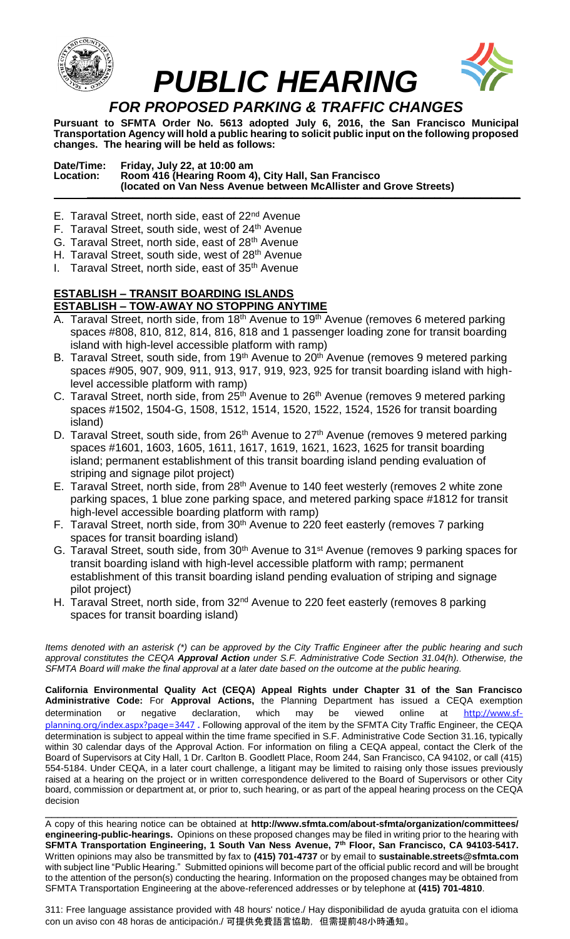

**Pursuant to SFMTA Order No. 5613 adopted July 6, 2016, the San Francisco Municipal Transportation Agency will hold a public hearing to solicit public input on the following proposed changes. The hearing will be held as follows:**

**Date/Time: Friday, July 22, at 10:00 am Location: Room 416 (Hearing Room 4), City Hall, San Francisco (located on Van Ness Avenue between McAllister and Grove Streets) \_\_\_\_\_\_\_\_\_\_\_\_\_\_\_\_\_\_\_\_\_\_\_\_\_\_\_\_\_\_\_\_\_\_\_\_\_\_\_\_\_\_\_\_\_\_\_\_\_\_\_\_\_\_\_\_\_\_\_\_\_\_\_\_\_\_\_\_\_\_\_\_\_\_\_\_**

- E. Taraval Street, north side, east of 22<sup>nd</sup> Avenue
- F. Taraval Street, south side, west of 24<sup>th</sup> Avenue
- G. Taraval Street, north side, east of 28<sup>th</sup> Avenue
- H. Taraval Street, south side, west of 28<sup>th</sup> Avenue
- I. Taraval Street, north side, east of  $35<sup>th</sup>$  Avenue

### **ESTABLISH – TRANSIT BOARDING ISLANDS ESTABLISH – TOW-AWAY NO STOPPING ANYTIME**

- A. Taraval Street, north side, from 18<sup>th</sup> Avenue to 19<sup>th</sup> Avenue (removes 6 metered parking spaces #808, 810, 812, 814, 816, 818 and 1 passenger loading zone for transit boarding island with high-level accessible platform with ramp)
- B. Taraval Street, south side, from 19<sup>th</sup> Avenue to 20<sup>th</sup> Avenue (removes 9 metered parking spaces #905, 907, 909, 911, 913, 917, 919, 923, 925 for transit boarding island with highlevel accessible platform with ramp)
- C. Taraval Street, north side, from 25<sup>th</sup> Avenue to 26<sup>th</sup> Avenue (removes 9 metered parking spaces #1502, 1504-G, 1508, 1512, 1514, 1520, 1522, 1524, 1526 for transit boarding island)
- D. Taraval Street, south side, from 26<sup>th</sup> Avenue to 27<sup>th</sup> Avenue (removes 9 metered parking spaces #1601, 1603, 1605, 1611, 1617, 1619, 1621, 1623, 1625 for transit boarding island; permanent establishment of this transit boarding island pending evaluation of striping and signage pilot project)
- E. Taraval Street, north side, from 28th Avenue to 140 feet westerly (removes 2 white zone parking spaces, 1 blue zone parking space, and metered parking space #1812 for transit high-level accessible boarding platform with ramp)
- F. Taraval Street, north side, from 30<sup>th</sup> Avenue to 220 feet easterly (removes 7 parking spaces for transit boarding island)
- G. Taraval Street, south side, from 30<sup>th</sup> Avenue to 31<sup>st</sup> Avenue (removes 9 parking spaces for transit boarding island with high-level accessible platform with ramp; permanent establishment of this transit boarding island pending evaluation of striping and signage pilot project)
- H. Taraval Street, north side, from 32<sup>nd</sup> Avenue to 220 feet easterly (removes 8 parking spaces for transit boarding island)

*Items denoted with an asterisk (\*) can be approved by the City Traffic Engineer after the public hearing and such approval constitutes the CEQA Approval Action under S.F. Administrative Code Section 31.04(h). Otherwise, the SFMTA Board will make the final approval at a later date based on the outcome at the public hearing.*

**California Environmental Quality Act (CEQA) Appeal Rights under Chapter 31 of the San Francisco Administrative Code:** For **Approval Actions,** the Planning Department has issued a CEQA exemption determination or negative declaration, which may be viewed online at [http://www.sf](http://www.sf-planning.org/index.aspx?page=3447)[planning.org/index.aspx?page=3447](http://www.sf-planning.org/index.aspx?page=3447) **.** Following approval of the item by the SFMTA City Traffic Engineer, the CEQA determination is subject to appeal within the time frame specified in S.F. Administrative Code Section 31.16, typically within 30 calendar days of the Approval Action. For information on filing a CEQA appeal, contact the Clerk of the Board of Supervisors at City Hall, 1 Dr. Carlton B. Goodlett Place, Room 244, San Francisco, CA 94102, or call (415) 554-5184. Under CEQA, in a later court challenge, a litigant may be limited to raising only those issues previously raised at a hearing on the project or in written correspondence delivered to the Board of Supervisors or other City board, commission or department at, or prior to, such hearing, or as part of the appeal hearing process on the CEQA decision

\_\_\_\_\_\_\_\_\_\_\_\_\_\_\_\_\_\_\_\_\_\_\_\_\_\_\_\_\_\_\_\_\_\_\_\_\_\_\_\_\_\_\_\_\_\_\_\_\_\_\_\_\_\_\_\_\_\_\_\_\_\_\_\_\_\_\_\_\_\_\_\_\_\_\_\_ A copy of this hearing notice can be obtained at **http://www.sfmta.com/about-sfmta/organization/committees/ engineering-public-hearings.** Opinions on these proposed changes may be filed in writing prior to the hearing with **SFMTA Transportation Engineering, 1 South Van Ness Avenue, 7th Floor, San Francisco, CA 94103-5417.** Written opinions may also be transmitted by fax to **(415) 701-4737** or by email to **sustainable.streets@sfmta.com**  with subject line "Public Hearing." Submitted opinions will become part of the official public record and will be brought to the attention of the person(s) conducting the hearing. Information on the proposed changes may be obtained from SFMTA Transportation Engineering at the above-referenced addresses or by telephone at **(415) 701-4810**.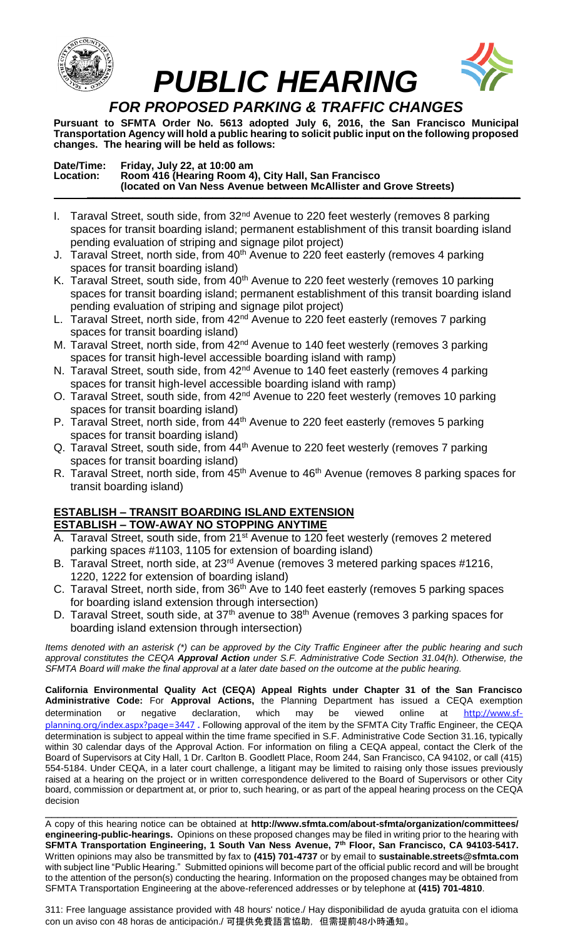

**Pursuant to SFMTA Order No. 5613 adopted July 6, 2016, the San Francisco Municipal Transportation Agency will hold a public hearing to solicit public input on the following proposed changes. The hearing will be held as follows:**

### **Date/Time: Friday, July 22, at 10:00 am Location: Room 416 (Hearing Room 4), City Hall, San Francisco (located on Van Ness Avenue between McAllister and Grove Streets) \_\_\_\_\_\_\_\_\_\_\_\_\_\_\_\_\_\_\_\_\_\_\_\_\_\_\_\_\_\_\_\_\_\_\_\_\_\_\_\_\_\_\_\_\_\_\_\_\_\_\_\_\_\_\_\_\_\_\_\_\_\_\_\_\_\_\_\_\_\_\_\_\_\_\_\_**

- I. Taraval Street, south side, from  $32<sup>nd</sup>$  Avenue to 220 feet westerly (removes 8 parking spaces for transit boarding island; permanent establishment of this transit boarding island pending evaluation of striping and signage pilot project)
- J. Taraval Street, north side, from 40<sup>th</sup> Avenue to 220 feet easterly (removes 4 parking spaces for transit boarding island)
- K. Taraval Street, south side, from 40<sup>th</sup> Avenue to 220 feet westerly (removes 10 parking spaces for transit boarding island; permanent establishment of this transit boarding island pending evaluation of striping and signage pilot project)
- L. Taraval Street, north side, from 42<sup>nd</sup> Avenue to 220 feet easterly (removes 7 parking spaces for transit boarding island)
- M. Taraval Street, north side, from 42<sup>nd</sup> Avenue to 140 feet westerly (removes 3 parking spaces for transit high-level accessible boarding island with ramp)
- N. Taraval Street, south side, from 42<sup>nd</sup> Avenue to 140 feet easterly (removes 4 parking spaces for transit high-level accessible boarding island with ramp)
- O. Taraval Street, south side, from 42<sup>nd</sup> Avenue to 220 feet westerly (removes 10 parking spaces for transit boarding island)
- P. Taraval Street, north side, from 44<sup>th</sup> Avenue to 220 feet easterly (removes 5 parking spaces for transit boarding island)
- Q. Taraval Street, south side, from 44<sup>th</sup> Avenue to 220 feet westerly (removes 7 parking spaces for transit boarding island)
- R. Taraval Street, north side, from 45<sup>th</sup> Avenue to 46<sup>th</sup> Avenue (removes 8 parking spaces for transit boarding island)

#### **ESTABLISH – TRANSIT BOARDING ISLAND EXTENSION ESTABLISH – TOW-AWAY NO STOPPING ANYTIME**

- A. Taraval Street, south side, from 21<sup>st</sup> Avenue to 120 feet westerly (removes 2 metered parking spaces #1103, 1105 for extension of boarding island)
- B. Taraval Street, north side, at 23<sup>rd</sup> Avenue (removes 3 metered parking spaces #1216, 1220, 1222 for extension of boarding island)
- C. Taraval Street, north side, from 36<sup>th</sup> Ave to 140 feet easterly (removes 5 parking spaces for boarding island extension through intersection)
- D. Taraval Street, south side, at 37<sup>th</sup> avenue to 38<sup>th</sup> Avenue (removes 3 parking spaces for boarding island extension through intersection)

*Items denoted with an asterisk (\*) can be approved by the City Traffic Engineer after the public hearing and such approval constitutes the CEQA Approval Action under S.F. Administrative Code Section 31.04(h). Otherwise, the SFMTA Board will make the final approval at a later date based on the outcome at the public hearing.*

**California Environmental Quality Act (CEQA) Appeal Rights under Chapter 31 of the San Francisco Administrative Code:** For **Approval Actions,** the Planning Department has issued a CEQA exemption determination or negative declaration, which may be viewed online at [http://www.sf](http://www.sf-planning.org/index.aspx?page=3447)[planning.org/index.aspx?page=3447](http://www.sf-planning.org/index.aspx?page=3447) **.** Following approval of the item by the SFMTA City Traffic Engineer, the CEQA determination is subject to appeal within the time frame specified in S.F. Administrative Code Section 31.16, typically within 30 calendar days of the Approval Action. For information on filing a CEQA appeal, contact the Clerk of the Board of Supervisors at City Hall, 1 Dr. Carlton B. Goodlett Place, Room 244, San Francisco, CA 94102, or call (415) 554-5184. Under CEQA, in a later court challenge, a litigant may be limited to raising only those issues previously raised at a hearing on the project or in written correspondence delivered to the Board of Supervisors or other City board, commission or department at, or prior to, such hearing, or as part of the appeal hearing process on the CEQA decision

\_\_\_\_\_\_\_\_\_\_\_\_\_\_\_\_\_\_\_\_\_\_\_\_\_\_\_\_\_\_\_\_\_\_\_\_\_\_\_\_\_\_\_\_\_\_\_\_\_\_\_\_\_\_\_\_\_\_\_\_\_\_\_\_\_\_\_\_\_\_\_\_\_\_\_\_ A copy of this hearing notice can be obtained at **http://www.sfmta.com/about-sfmta/organization/committees/ engineering-public-hearings.** Opinions on these proposed changes may be filed in writing prior to the hearing with **SFMTA Transportation Engineering, 1 South Van Ness Avenue, 7th Floor, San Francisco, CA 94103-5417.** Written opinions may also be transmitted by fax to **(415) 701-4737** or by email to **sustainable.streets@sfmta.com**  with subject line "Public Hearing." Submitted opinions will become part of the official public record and will be brought to the attention of the person(s) conducting the hearing. Information on the proposed changes may be obtained from SFMTA Transportation Engineering at the above-referenced addresses or by telephone at **(415) 701-4810**.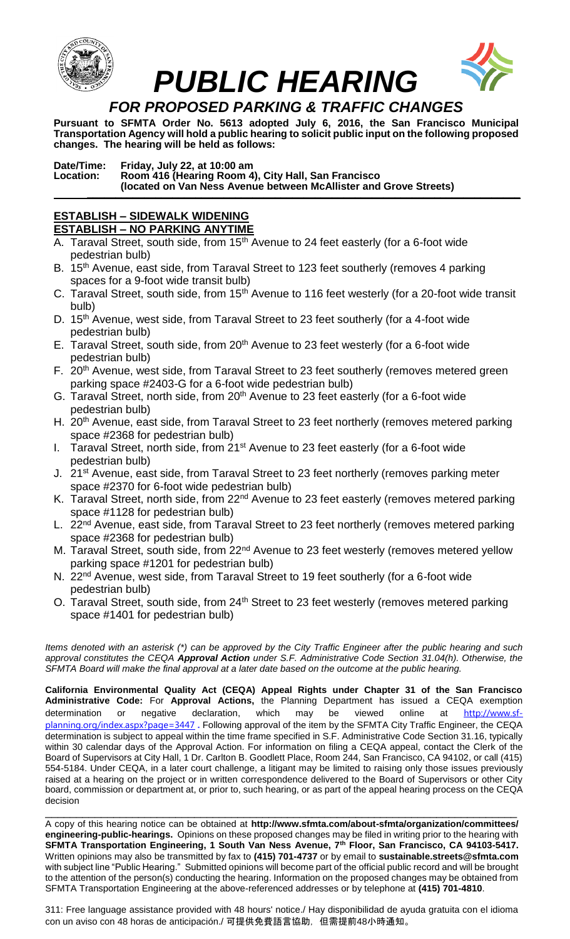



**Pursuant to SFMTA Order No. 5613 adopted July 6, 2016, the San Francisco Municipal Transportation Agency will hold a public hearing to solicit public input on the following proposed changes. The hearing will be held as follows:**

**Date/Time: Friday, July 22, at 10:00 am Location: Room 416 (Hearing Room 4), City Hall, San Francisco (located on Van Ness Avenue between McAllister and Grove Streets) \_\_\_\_\_\_\_\_\_\_\_\_\_\_\_\_\_\_\_\_\_\_\_\_\_\_\_\_\_\_\_\_\_\_\_\_\_\_\_\_\_\_\_\_\_\_\_\_\_\_\_\_\_\_\_\_\_\_\_\_\_\_\_\_\_\_\_\_\_\_\_\_\_\_\_\_**

### **ESTABLISH – SIDEWALK WIDENING ESTABLISH – NO PARKING ANYTIME**

- A. Taraval Street, south side, from 15<sup>th</sup> Avenue to 24 feet easterly (for a 6-foot wide pedestrian bulb)
- B. 15<sup>th</sup> Avenue, east side, from Taraval Street to 123 feet southerly (removes 4 parking spaces for a 9-foot wide transit bulb)
- C. Taraval Street, south side, from 15<sup>th</sup> Avenue to 116 feet westerly (for a 20-foot wide transit bulb)
- D. 15<sup>th</sup> Avenue, west side, from Taraval Street to 23 feet southerly (for a 4-foot wide pedestrian bulb)
- E. Taraval Street, south side, from 20<sup>th</sup> Avenue to 23 feet westerly (for a 6-foot wide pedestrian bulb)
- F. 20<sup>th</sup> Avenue, west side, from Taraval Street to 23 feet southerly (removes metered green parking space #2403-G for a 6-foot wide pedestrian bulb)
- G. Taraval Street, north side, from 20<sup>th</sup> Avenue to 23 feet easterly (for a 6-foot wide pedestrian bulb)
- H. 20<sup>th</sup> Avenue, east side, from Taraval Street to 23 feet northerly (removes metered parking space #2368 for pedestrian bulb)
- I. Taraval Street, north side, from 21<sup>st</sup> Avenue to 23 feet easterly (for a 6-foot wide pedestrian bulb)
- J. 21<sup>st</sup> Avenue, east side, from Taraval Street to 23 feet northerly (removes parking meter space #2370 for 6-foot wide pedestrian bulb)
- K. Taraval Street, north side, from 22<sup>nd</sup> Avenue to 23 feet easterly (removes metered parking space #1128 for pedestrian bulb)
- L. 22<sup>nd</sup> Avenue, east side, from Taraval Street to 23 feet northerly (removes metered parking space #2368 for pedestrian bulb)
- M. Taraval Street, south side, from 22<sup>nd</sup> Avenue to 23 feet westerly (removes metered yellow parking space #1201 for pedestrian bulb)
- N. 22<sup>nd</sup> Avenue, west side, from Taraval Street to 19 feet southerly (for a 6-foot wide pedestrian bulb)
- O. Taraval Street, south side, from 24<sup>th</sup> Street to 23 feet westerly (removes metered parking space #1401 for pedestrian bulb)

*Items denoted with an asterisk (\*) can be approved by the City Traffic Engineer after the public hearing and such approval constitutes the CEQA Approval Action under S.F. Administrative Code Section 31.04(h). Otherwise, the SFMTA Board will make the final approval at a later date based on the outcome at the public hearing.*

**California Environmental Quality Act (CEQA) Appeal Rights under Chapter 31 of the San Francisco Administrative Code:** For **Approval Actions,** the Planning Department has issued a CEQA exemption determination or negative declaration, which may be viewed online at [http://www.sf](http://www.sf-planning.org/index.aspx?page=3447)[planning.org/index.aspx?page=3447](http://www.sf-planning.org/index.aspx?page=3447) **.** Following approval of the item by the SFMTA City Traffic Engineer, the CEQA determination is subject to appeal within the time frame specified in S.F. Administrative Code Section 31.16, typically within 30 calendar days of the Approval Action. For information on filing a CEQA appeal, contact the Clerk of the Board of Supervisors at City Hall, 1 Dr. Carlton B. Goodlett Place, Room 244, San Francisco, CA 94102, or call (415) 554-5184. Under CEQA, in a later court challenge, a litigant may be limited to raising only those issues previously raised at a hearing on the project or in written correspondence delivered to the Board of Supervisors or other City board, commission or department at, or prior to, such hearing, or as part of the appeal hearing process on the CEQA decision \_\_\_\_\_\_\_\_\_\_\_\_\_\_\_\_\_\_\_\_\_\_\_\_\_\_\_\_\_\_\_\_\_\_\_\_\_\_\_\_\_\_\_\_\_\_\_\_\_\_\_\_\_\_\_\_\_\_\_\_\_\_\_\_\_\_\_\_\_\_\_\_\_\_\_\_

A copy of this hearing notice can be obtained at **http://www.sfmta.com/about-sfmta/organization/committees/ engineering-public-hearings.** Opinions on these proposed changes may be filed in writing prior to the hearing with **SFMTA Transportation Engineering, 1 South Van Ness Avenue, 7th Floor, San Francisco, CA 94103-5417.** Written opinions may also be transmitted by fax to **(415) 701-4737** or by email to **sustainable.streets@sfmta.com**  with subject line "Public Hearing." Submitted opinions will become part of the official public record and will be brought to the attention of the person(s) conducting the hearing. Information on the proposed changes may be obtained from SFMTA Transportation Engineering at the above-referenced addresses or by telephone at **(415) 701-4810**.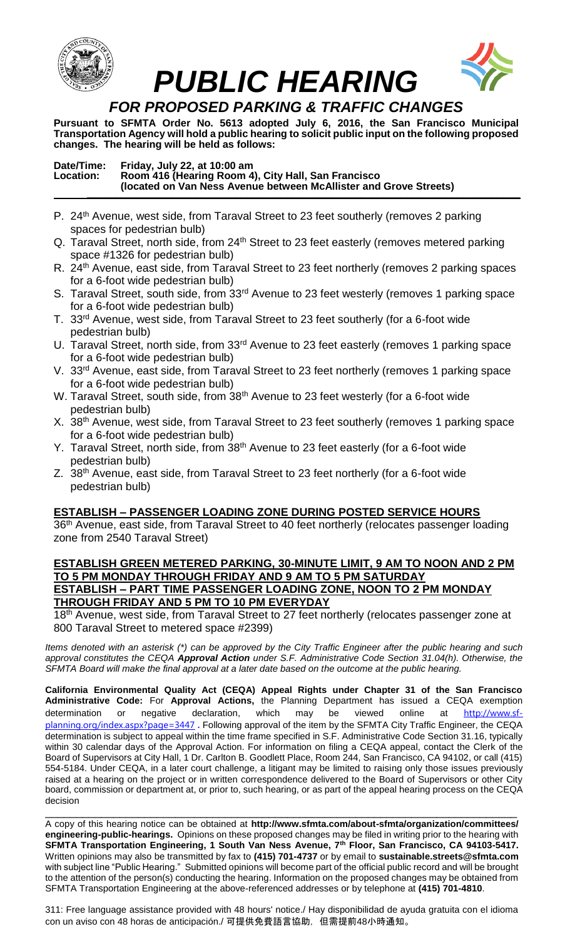



**Pursuant to SFMTA Order No. 5613 adopted July 6, 2016, the San Francisco Municipal Transportation Agency will hold a public hearing to solicit public input on the following proposed changes. The hearing will be held as follows:**

### **Date/Time: Friday, July 22, at 10:00 am Location: Room 416 (Hearing Room 4), City Hall, San Francisco (located on Van Ness Avenue between McAllister and Grove Streets) \_\_\_\_\_\_\_\_\_\_\_\_\_\_\_\_\_\_\_\_\_\_\_\_\_\_\_\_\_\_\_\_\_\_\_\_\_\_\_\_\_\_\_\_\_\_\_\_\_\_\_\_\_\_\_\_\_\_\_\_\_\_\_\_\_\_\_\_\_\_\_\_\_\_\_\_**

- P. 24<sup>th</sup> Avenue, west side, from Taraval Street to 23 feet southerly (removes 2 parking spaces for pedestrian bulb)
- Q. Taraval Street, north side, from 24<sup>th</sup> Street to 23 feet easterly (removes metered parking space #1326 for pedestrian bulb)
- R. 24<sup>th</sup> Avenue, east side, from Taraval Street to 23 feet northerly (removes 2 parking spaces for a 6-foot wide pedestrian bulb)
- S. Taraval Street, south side, from 33<sup>rd</sup> Avenue to 23 feet westerly (removes 1 parking space for a 6-foot wide pedestrian bulb)
- T. 33rd Avenue, west side, from Taraval Street to 23 feet southerly (for a 6-foot wide pedestrian bulb)
- U. Taraval Street, north side, from 33<sup>rd</sup> Avenue to 23 feet easterly (removes 1 parking space for a 6-foot wide pedestrian bulb)
- V. 33<sup>rd</sup> Avenue, east side, from Taraval Street to 23 feet northerly (removes 1 parking space for a 6-foot wide pedestrian bulb)
- W. Taraval Street, south side, from 38<sup>th</sup> Avenue to 23 feet westerly (for a 6-foot wide pedestrian bulb)
- X. 38<sup>th</sup> Avenue, west side, from Taraval Street to 23 feet southerly (removes 1 parking space for a 6-foot wide pedestrian bulb)
- Y. Taraval Street, north side, from 38<sup>th</sup> Avenue to 23 feet easterly (for a 6-foot wide pedestrian bulb)
- Z. 38<sup>th</sup> Avenue, east side, from Taraval Street to 23 feet northerly (for a 6-foot wide pedestrian bulb)

# **ESTABLISH – PASSENGER LOADING ZONE DURING POSTED SERVICE HOURS**

36<sup>th</sup> Avenue, east side, from Taraval Street to 40 feet northerly (relocates passenger loading zone from 2540 Taraval Street)

### **ESTABLISH GREEN METERED PARKING, 30-MINUTE LIMIT, 9 AM TO NOON AND 2 PM TO 5 PM MONDAY THROUGH FRIDAY AND 9 AM TO 5 PM SATURDAY ESTABLISH – PART TIME PASSENGER LOADING ZONE, NOON TO 2 PM MONDAY THROUGH FRIDAY AND 5 PM TO 10 PM EVERYDAY**

18<sup>th</sup> Avenue, west side, from Taraval Street to 27 feet northerly (relocates passenger zone at 800 Taraval Street to metered space #2399)

*Items denoted with an asterisk (\*) can be approved by the City Traffic Engineer after the public hearing and such approval constitutes the CEQA Approval Action under S.F. Administrative Code Section 31.04(h). Otherwise, the SFMTA Board will make the final approval at a later date based on the outcome at the public hearing.*

**California Environmental Quality Act (CEQA) Appeal Rights under Chapter 31 of the San Francisco Administrative Code:** For **Approval Actions,** the Planning Department has issued a CEQA exemption determination or negative declaration, which may be viewed online at [http://www.sf](http://www.sf-planning.org/index.aspx?page=3447)[planning.org/index.aspx?page=3447](http://www.sf-planning.org/index.aspx?page=3447) **.** Following approval of the item by the SFMTA City Traffic Engineer, the CEQA determination is subject to appeal within the time frame specified in S.F. Administrative Code Section 31.16, typically within 30 calendar days of the Approval Action. For information on filing a CEQA appeal, contact the Clerk of the Board of Supervisors at City Hall, 1 Dr. Carlton B. Goodlett Place, Room 244, San Francisco, CA 94102, or call (415) 554-5184. Under CEQA, in a later court challenge, a litigant may be limited to raising only those issues previously raised at a hearing on the project or in written correspondence delivered to the Board of Supervisors or other City board, commission or department at, or prior to, such hearing, or as part of the appeal hearing process on the CEQA decision

\_\_\_\_\_\_\_\_\_\_\_\_\_\_\_\_\_\_\_\_\_\_\_\_\_\_\_\_\_\_\_\_\_\_\_\_\_\_\_\_\_\_\_\_\_\_\_\_\_\_\_\_\_\_\_\_\_\_\_\_\_\_\_\_\_\_\_\_\_\_\_\_\_\_\_\_ A copy of this hearing notice can be obtained at **http://www.sfmta.com/about-sfmta/organization/committees/ engineering-public-hearings.** Opinions on these proposed changes may be filed in writing prior to the hearing with **SFMTA Transportation Engineering, 1 South Van Ness Avenue, 7th Floor, San Francisco, CA 94103-5417.** Written opinions may also be transmitted by fax to **(415) 701-4737** or by email to **sustainable.streets@sfmta.com**  with subject line "Public Hearing." Submitted opinions will become part of the official public record and will be brought to the attention of the person(s) conducting the hearing. Information on the proposed changes may be obtained from SFMTA Transportation Engineering at the above-referenced addresses or by telephone at **(415) 701-4810**.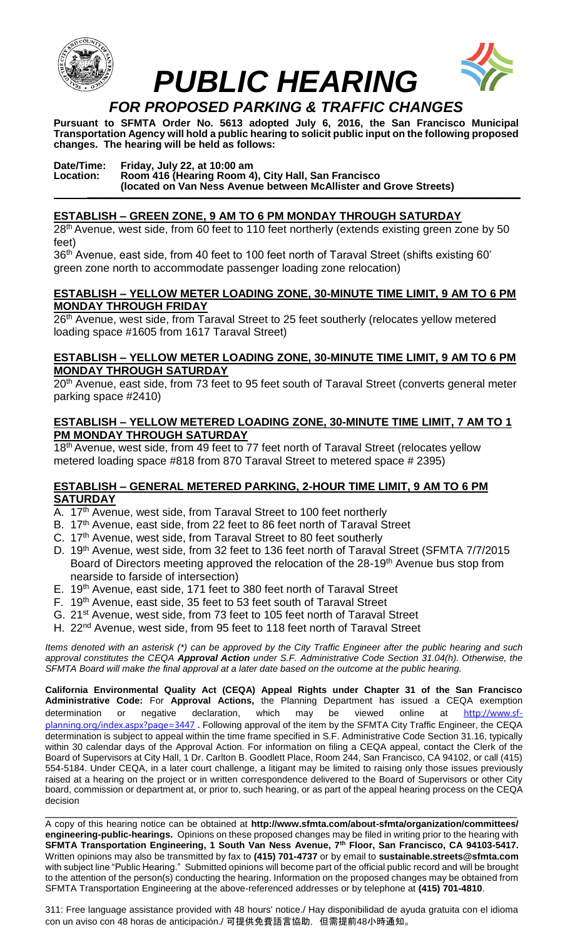



**Pursuant to SFMTA Order No. 5613 adopted July 6, 2016, the San Francisco Municipal Transportation Agency will hold a public hearing to solicit public input on the following proposed changes. The hearing will be held as follows:**

### **Date/Time: Friday, July 22, at 10:00 am Location: Room 416 (Hearing Room 4), City Hall, San Francisco (located on Van Ness Avenue between McAllister and Grove Streets) \_\_\_\_\_\_\_\_\_\_\_\_\_\_\_\_\_\_\_\_\_\_\_\_\_\_\_\_\_\_\_\_\_\_\_\_\_\_\_\_\_\_\_\_\_\_\_\_\_\_\_\_\_\_\_\_\_\_\_\_\_\_\_\_\_\_\_\_\_\_\_\_\_\_\_\_**

## **ESTABLISH – GREEN ZONE, 9 AM TO 6 PM MONDAY THROUGH SATURDAY**

28<sup>th</sup> Avenue, west side, from 60 feet to 110 feet northerly (extends existing green zone by 50 feet)

36<sup>th</sup> Avenue, east side, from 40 feet to 100 feet north of Taraval Street (shifts existing 60' green zone north to accommodate passenger loading zone relocation)

### **ESTABLISH – YELLOW METER LOADING ZONE, 30-MINUTE TIME LIMIT, 9 AM TO 6 PM MONDAY THROUGH FRIDAY**

26<sup>th</sup> Avenue, west side, from Taraval Street to 25 feet southerly (relocates yellow metered loading space #1605 from 1617 Taraval Street)

### **ESTABLISH – YELLOW METER LOADING ZONE, 30-MINUTE TIME LIMIT, 9 AM TO 6 PM MONDAY THROUGH SATURDAY**

20<sup>th</sup> Avenue, east side, from 73 feet to 95 feet south of Taraval Street (converts general meter parking space #2410)

### **ESTABLISH – YELLOW METERED LOADING ZONE, 30-MINUTE TIME LIMIT, 7 AM TO 1 PM MONDAY THROUGH SATURDAY**

18<sup>th</sup> Avenue, west side, from 49 feet to 77 feet north of Taraval Street (relocates yellow metered loading space #818 from 870 Taraval Street to metered space # 2395)

### **ESTABLISH – GENERAL METERED PARKING, 2-HOUR TIME LIMIT, 9 AM TO 6 PM SATURDAY**

- A. 17<sup>th</sup> Avenue, west side, from Taraval Street to 100 feet northerly
- B. 17<sup>th</sup> Avenue, east side, from 22 feet to 86 feet north of Taraval Street
- C. 17<sup>th</sup> Avenue, west side, from Taraval Street to 80 feet southerly
- D. 19<sup>th</sup> Avenue, west side, from 32 feet to 136 feet north of Taraval Street (SFMTA 7/7/2015 Board of Directors meeting approved the relocation of the 28-19<sup>th</sup> Avenue bus stop from nearside to farside of intersection)
- E. 19<sup>th</sup> Avenue, east side, 171 feet to 380 feet north of Taraval Street
- F. 19<sup>th</sup> Avenue, east side, 35 feet to 53 feet south of Taraval Street
- G. 21st Avenue, west side, from 73 feet to 105 feet north of Taraval Street
- H. 22<sup>nd</sup> Avenue, west side, from 95 feet to 118 feet north of Taraval Street

*Items denoted with an asterisk (\*) can be approved by the City Traffic Engineer after the public hearing and such approval constitutes the CEQA Approval Action under S.F. Administrative Code Section 31.04(h). Otherwise, the SFMTA Board will make the final approval at a later date based on the outcome at the public hearing.*

**California Environmental Quality Act (CEQA) Appeal Rights under Chapter 31 of the San Francisco Administrative Code:** For **Approval Actions,** the Planning Department has issued a CEQA exemption determination or negative declaration, which may be viewed online at [http://www.sf](http://www.sf-planning.org/index.aspx?page=3447)[planning.org/index.aspx?page=3447](http://www.sf-planning.org/index.aspx?page=3447) **.** Following approval of the item by the SFMTA City Traffic Engineer, the CEQA determination is subject to appeal within the time frame specified in S.F. Administrative Code Section 31.16, typically within 30 calendar days of the Approval Action. For information on filing a CEQA appeal, contact the Clerk of the Board of Supervisors at City Hall, 1 Dr. Carlton B. Goodlett Place, Room 244, San Francisco, CA 94102, or call (415) 554-5184. Under CEQA, in a later court challenge, a litigant may be limited to raising only those issues previously raised at a hearing on the project or in written correspondence delivered to the Board of Supervisors or other City board, commission or department at, or prior to, such hearing, or as part of the appeal hearing process on the CEQA decision \_\_\_\_\_\_\_\_\_\_\_\_\_\_\_\_\_\_\_\_\_\_\_\_\_\_\_\_\_\_\_\_\_\_\_\_\_\_\_\_\_\_\_\_\_\_\_\_\_\_\_\_\_\_\_\_\_\_\_\_\_\_\_\_\_\_\_\_\_\_\_\_\_\_\_\_

A copy of this hearing notice can be obtained at **http://www.sfmta.com/about-sfmta/organization/committees/ engineering-public-hearings.** Opinions on these proposed changes may be filed in writing prior to the hearing with **SFMTA Transportation Engineering, 1 South Van Ness Avenue, 7th Floor, San Francisco, CA 94103-5417.** Written opinions may also be transmitted by fax to **(415) 701-4737** or by email to **sustainable.streets@sfmta.com**  with subject line "Public Hearing." Submitted opinions will become part of the official public record and will be brought to the attention of the person(s) conducting the hearing. Information on the proposed changes may be obtained from SFMTA Transportation Engineering at the above-referenced addresses or by telephone at **(415) 701-4810**.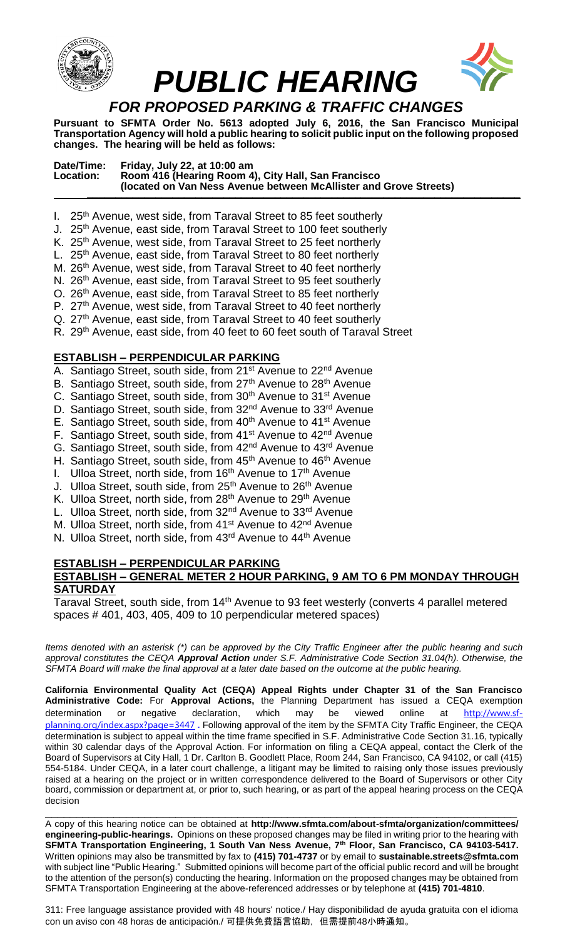

**Pursuant to SFMTA Order No. 5613 adopted July 6, 2016, the San Francisco Municipal Transportation Agency will hold a public hearing to solicit public input on the following proposed changes. The hearing will be held as follows:**

| Date/Time:<br>Location: | Friday, July 22, at 10:00 am<br>Room 416 (Hearing Room 4), City Hall, San Francisco<br>(located on Van Ness Avenue between McAllister and Grove Streets) |  |
|-------------------------|----------------------------------------------------------------------------------------------------------------------------------------------------------|--|
|-------------------------|----------------------------------------------------------------------------------------------------------------------------------------------------------|--|

- I.  $25<sup>th</sup>$  Avenue, west side, from Taraval Street to 85 feet southerly
- J. 25<sup>th</sup> Avenue, east side, from Taraval Street to 100 feet southerly
- K. 25<sup>th</sup> Avenue, west side, from Taraval Street to 25 feet northerly
- L. 25<sup>th</sup> Avenue, east side, from Taraval Street to 80 feet northerly
- M. 26<sup>th</sup> Avenue, west side, from Taraval Street to 40 feet northerly
- N. 26<sup>th</sup> Avenue, east side, from Taraval Street to 95 feet southerly
- O. 26th Avenue, east side, from Taraval Street to 85 feet northerly
- P. 27<sup>th</sup> Avenue, west side, from Taraval Street to 40 feet northerly
- Q. 27<sup>th</sup> Avenue, east side, from Taraval Street to 40 feet southerly
- R. 29<sup>th</sup> Avenue, east side, from 40 feet to 60 feet south of Taraval Street

#### **ESTABLISH – PERPENDICULAR PARKING**

- A. Santiago Street, south side, from 21<sup>st</sup> Avenue to 22<sup>nd</sup> Avenue
- B. Santiago Street, south side, from 27<sup>th</sup> Avenue to 28<sup>th</sup> Avenue
- C. Santiago Street, south side, from 30<sup>th</sup> Avenue to 31<sup>st</sup> Avenue
- D. Santiago Street, south side, from 32<sup>nd</sup> Avenue to 33<sup>rd</sup> Avenue
- E. Santiago Street, south side, from 40<sup>th</sup> Avenue to 41<sup>st</sup> Avenue
- F. Santiago Street, south side, from 41<sup>st</sup> Avenue to 42<sup>nd</sup> Avenue
- G. Santiago Street, south side, from 42nd Avenue to 43rd Avenue
- H. Santiago Street, south side, from 45<sup>th</sup> Avenue to 46<sup>th</sup> Avenue
- I. Ulloa Street, north side, from 16<sup>th</sup> Avenue to 17<sup>th</sup> Avenue
- J. Ulloa Street, south side, from 25<sup>th</sup> Avenue to 26<sup>th</sup> Avenue
- K. Ulloa Street, north side, from 28<sup>th</sup> Avenue to 29<sup>th</sup> Avenue
- L. Ulloa Street, north side, from 32<sup>nd</sup> Avenue to 33<sup>rd</sup> Avenue
- M. Ulloa Street, north side, from 41<sup>st</sup> Avenue to 42<sup>nd</sup> Avenue
- N. Ulloa Street, north side, from 43<sup>rd</sup> Avenue to 44<sup>th</sup> Avenue

### **ESTABLISH – PERPENDICULAR PARKING ESTABLISH – GENERAL METER 2 HOUR PARKING, 9 AM TO 6 PM MONDAY THROUGH SATURDAY**

Taraval Street, south side, from 14<sup>th</sup> Avenue to 93 feet westerly (converts 4 parallel metered spaces # 401, 403, 405, 409 to 10 perpendicular metered spaces)

*Items denoted with an asterisk (\*) can be approved by the City Traffic Engineer after the public hearing and such approval constitutes the CEQA Approval Action under S.F. Administrative Code Section 31.04(h). Otherwise, the SFMTA Board will make the final approval at a later date based on the outcome at the public hearing.*

**California Environmental Quality Act (CEQA) Appeal Rights under Chapter 31 of the San Francisco Administrative Code:** For **Approval Actions,** the Planning Department has issued a CEQA exemption determination or negative declaration, which may be viewed online at [http://www.sf](http://www.sf-planning.org/index.aspx?page=3447)[planning.org/index.aspx?page=3447](http://www.sf-planning.org/index.aspx?page=3447) **.** Following approval of the item by the SFMTA City Traffic Engineer, the CEQA determination is subject to appeal within the time frame specified in S.F. Administrative Code Section 31.16, typically within 30 calendar days of the Approval Action. For information on filing a CEQA appeal, contact the Clerk of the Board of Supervisors at City Hall, 1 Dr. Carlton B. Goodlett Place, Room 244, San Francisco, CA 94102, or call (415) 554-5184. Under CEQA, in a later court challenge, a litigant may be limited to raising only those issues previously raised at a hearing on the project or in written correspondence delivered to the Board of Supervisors or other City board, commission or department at, or prior to, such hearing, or as part of the appeal hearing process on the CEQA decision

\_\_\_\_\_\_\_\_\_\_\_\_\_\_\_\_\_\_\_\_\_\_\_\_\_\_\_\_\_\_\_\_\_\_\_\_\_\_\_\_\_\_\_\_\_\_\_\_\_\_\_\_\_\_\_\_\_\_\_\_\_\_\_\_\_\_\_\_\_\_\_\_\_\_\_\_ A copy of this hearing notice can be obtained at **http://www.sfmta.com/about-sfmta/organization/committees/ engineering-public-hearings.** Opinions on these proposed changes may be filed in writing prior to the hearing with **SFMTA Transportation Engineering, 1 South Van Ness Avenue, 7th Floor, San Francisco, CA 94103-5417.** Written opinions may also be transmitted by fax to **(415) 701-4737** or by email to **sustainable.streets@sfmta.com**  with subject line "Public Hearing." Submitted opinions will become part of the official public record and will be brought to the attention of the person(s) conducting the hearing. Information on the proposed changes may be obtained from SFMTA Transportation Engineering at the above-referenced addresses or by telephone at **(415) 701-4810**.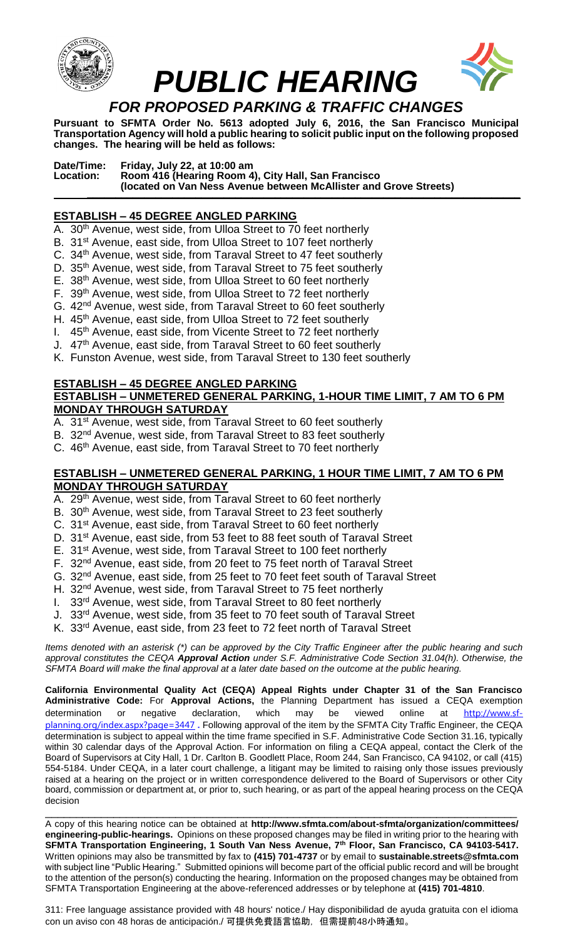



**Pursuant to SFMTA Order No. 5613 adopted July 6, 2016, the San Francisco Municipal Transportation Agency will hold a public hearing to solicit public input on the following proposed changes. The hearing will be held as follows:**

**Date/Time: Friday, July 22, at 10:00 am Location: Room 416 (Hearing Room 4), City Hall, San Francisco (located on Van Ness Avenue between McAllister and Grove Streets) \_\_\_\_\_\_\_\_\_\_\_\_\_\_\_\_\_\_\_\_\_\_\_\_\_\_\_\_\_\_\_\_\_\_\_\_\_\_\_\_\_\_\_\_\_\_\_\_\_\_\_\_\_\_\_\_\_\_\_\_\_\_\_\_\_\_\_\_\_\_\_\_\_\_\_\_**

### **ESTABLISH – 45 DEGREE ANGLED PARKING**

- A. 30<sup>th</sup> Avenue, west side, from Ulloa Street to 70 feet northerly
- B. 31<sup>st</sup> Avenue, east side, from Ulloa Street to 107 feet northerly
- C. 34<sup>th</sup> Avenue, west side, from Taraval Street to 47 feet southerly
- D. 35<sup>th</sup> Avenue, west side, from Taraval Street to 75 feet southerly
- E. 38th Avenue, west side, from Ulloa Street to 60 feet northerly
- F. 39<sup>th</sup> Avenue, west side, from Ulloa Street to 72 feet northerly
- G. 42nd Avenue, west side, from Taraval Street to 60 feet southerly
- H. 45<sup>th</sup> Avenue, east side, from Ulloa Street to 72 feet southerly
- I. 45<sup>th</sup> Avenue, east side, from Vicente Street to 72 feet northerly
- J. 47<sup>th</sup> Avenue, east side, from Taraval Street to 60 feet southerly
- K. Funston Avenue, west side, from Taraval Street to 130 feet southerly

#### **ESTABLISH – 45 DEGREE ANGLED PARKING ESTABLISH – UNMETERED GENERAL PARKING, 1-HOUR TIME LIMIT, 7 AM TO 6 PM MONDAY THROUGH SATURDAY**

- A. 31<sup>st</sup> Avenue, west side, from Taraval Street to 60 feet southerly
- B. 32<sup>nd</sup> Avenue, west side, from Taraval Street to 83 feet southerly
- C. 46<sup>th</sup> Avenue, east side, from Taraval Street to 70 feet northerly

### **ESTABLISH – UNMETERED GENERAL PARKING, 1 HOUR TIME LIMIT, 7 AM TO 6 PM MONDAY THROUGH SATURDAY**

- A. 29<sup>th</sup> Avenue, west side, from Taraval Street to 60 feet northerly
- B. 30<sup>th</sup> Avenue, west side, from Taraval Street to 23 feet southerly
- C. 31st Avenue, east side, from Taraval Street to 60 feet northerly
- D. 31<sup>st</sup> Avenue, east side, from 53 feet to 88 feet south of Taraval Street
- E. 31<sup>st</sup> Avenue, west side, from Taraval Street to 100 feet northerly
- F. 32<sup>nd</sup> Avenue, east side, from 20 feet to 75 feet north of Taraval Street
- G. 32nd Avenue, east side, from 25 feet to 70 feet feet south of Taraval Street
- H. 32<sup>nd</sup> Avenue, west side, from Taraval Street to 75 feet northerly
- I. 33<sup>rd</sup> Avenue, west side, from Taraval Street to 80 feet northerly
- J. 33<sup>rd</sup> Avenue, west side, from 35 feet to 70 feet south of Taraval Street
- K. 33rd Avenue, east side, from 23 feet to 72 feet north of Taraval Street

*Items denoted with an asterisk (\*) can be approved by the City Traffic Engineer after the public hearing and such approval constitutes the CEQA Approval Action under S.F. Administrative Code Section 31.04(h). Otherwise, the SFMTA Board will make the final approval at a later date based on the outcome at the public hearing.*

**California Environmental Quality Act (CEQA) Appeal Rights under Chapter 31 of the San Francisco Administrative Code:** For **Approval Actions,** the Planning Department has issued a CEQA exemption determination or negative declaration, which may be viewed online at [http://www.sf](http://www.sf-planning.org/index.aspx?page=3447)[planning.org/index.aspx?page=3447](http://www.sf-planning.org/index.aspx?page=3447) **.** Following approval of the item by the SFMTA City Traffic Engineer, the CEQA determination is subject to appeal within the time frame specified in S.F. Administrative Code Section 31.16, typically within 30 calendar days of the Approval Action. For information on filing a CEQA appeal, contact the Clerk of the Board of Supervisors at City Hall, 1 Dr. Carlton B. Goodlett Place, Room 244, San Francisco, CA 94102, or call (415) 554-5184. Under CEQA, in a later court challenge, a litigant may be limited to raising only those issues previously raised at a hearing on the project or in written correspondence delivered to the Board of Supervisors or other City board, commission or department at, or prior to, such hearing, or as part of the appeal hearing process on the CEQA decision

\_\_\_\_\_\_\_\_\_\_\_\_\_\_\_\_\_\_\_\_\_\_\_\_\_\_\_\_\_\_\_\_\_\_\_\_\_\_\_\_\_\_\_\_\_\_\_\_\_\_\_\_\_\_\_\_\_\_\_\_\_\_\_\_\_\_\_\_\_\_\_\_\_\_\_\_ A copy of this hearing notice can be obtained at **http://www.sfmta.com/about-sfmta/organization/committees/ engineering-public-hearings.** Opinions on these proposed changes may be filed in writing prior to the hearing with **SFMTA Transportation Engineering, 1 South Van Ness Avenue, 7th Floor, San Francisco, CA 94103-5417.** Written opinions may also be transmitted by fax to **(415) 701-4737** or by email to **sustainable.streets@sfmta.com**  with subject line "Public Hearing." Submitted opinions will become part of the official public record and will be brought to the attention of the person(s) conducting the hearing. Information on the proposed changes may be obtained from SFMTA Transportation Engineering at the above-referenced addresses or by telephone at **(415) 701-4810**.